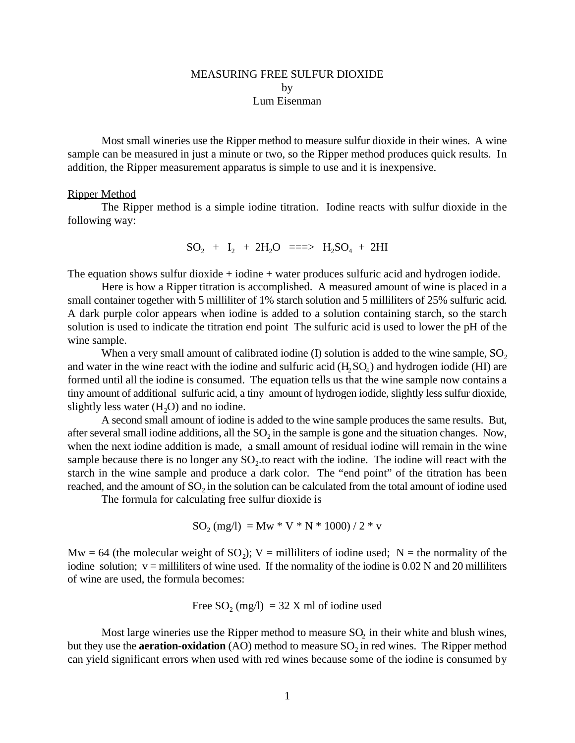## MEASURING FREE SULFUR DIOXIDE by Lum Eisenman

Most small wineries use the Ripper method to measure sulfur dioxide in their wines. A wine sample can be measured in just a minute or two, so the Ripper method produces quick results. In addition, the Ripper measurement apparatus is simple to use and it is inexpensive.

## Ripper Method

The Ripper method is a simple iodine titration. Iodine reacts with sulfur dioxide in the following way:

$$
SO_2 + I_2 + 2H_2O = \implies H_2SO_4 + 2HI
$$

The equation shows sulfur dioxide  $+$  iodine  $+$  water produces sulfuric acid and hydrogen iodide.

Here is how a Ripper titration is accomplished. A measured amount of wine is placed in a small container together with 5 milliliter of 1% starch solution and 5 milliliters of 25% sulfuric acid. A dark purple color appears when iodine is added to a solution containing starch, so the starch solution is used to indicate the titration end point The sulfuric acid is used to lower the pH of the wine sample.

When a very small amount of calibrated iodine  $(I)$  solution is added to the wine sample,  $SO<sub>2</sub>$ and water in the wine react with the iodine and sulfuric acid  $(H_2SO_4)$  and hydrogen iodide (HI) are formed until all the iodine is consumed. The equation tells us that the wine sample now contains a tiny amount of additional sulfuric acid, a tiny amount of hydrogen iodide, slightly less sulfur dioxide, slightly less water  $(H<sub>2</sub>O)$  and no iodine.

A second small amount of iodine is added to the wine sample produces the same results. But, after several small iodine additions, all the  $SO<sub>2</sub>$  in the sample is gone and the situation changes. Now, when the next iodine addition is made, a small amount of residual iodine will remain in the wine sample because there is no longer any  $SO_2$  to react with the iodine. The iodine will react with the starch in the wine sample and produce a dark color. The "end point" of the titration has been reached, and the amount of  $SO_2$  in the solution can be calculated from the total amount of iodine used

The formula for calculating free sulfur dioxide is

$$
SO_2 \ (mg/l) \ = Mw * V * N * 1000) \ / \ 2 * v
$$

 $Mw = 64$  (the molecular weight of SO<sub>2</sub>); V = milliliters of iodine used; N = the normality of the iodine solution;  $v =$  milliliters of wine used. If the normality of the iodine is 0.02 N and 20 milliliters of wine are used, the formula becomes:

Free SO<sup>2</sup> (mg/l) = 32 X ml of iodine used

Most large wineries use the Ripper method to measure  $SO<sub>2</sub>$  in their white and blush wines, but they use the **aeration-oxidation** (AO) method to measure  $SO_2$  in red wines. The Ripper method can yield significant errors when used with red wines because some of the iodine is consumed by